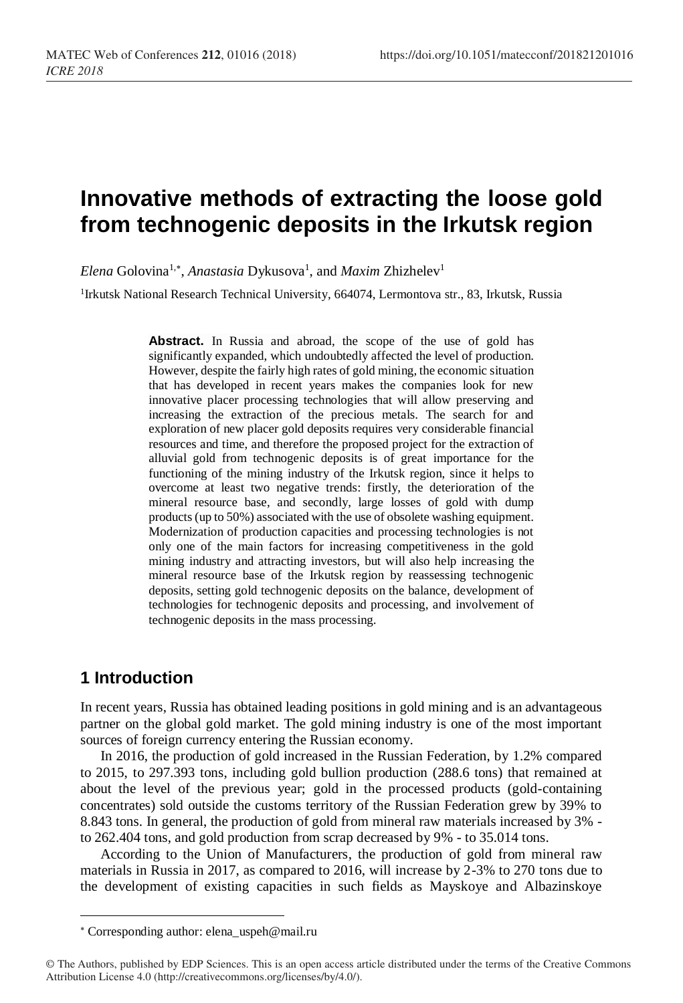# **Innovative methods of extracting the loose gold from technogenic deposits in the Irkutsk region**

Elena Golovina<sup>1,\*</sup>, *Anastasia* Dykusova<sup>1</sup>, and *Maxim Zhizhelev*<sup>1</sup>

<sup>1</sup>Irkutsk National Research Technical University, 664074, Lermontova str., 83, Irkutsk, Russia

**Abstract.** In Russia and abroad, the scope of the use of gold has significantly expanded, which undoubtedly affected the level of production. However, despite the fairly high rates of gold mining, the economic situation that has developed in recent years makes the companies look for new innovative placer processing technologies that will allow preserving and increasing the extraction of the precious metals. The search for and exploration of new placer gold deposits requires very considerable financial resources and time, and therefore the proposed project for the extraction of alluvial gold from technogenic deposits is of great importance for the functioning of the mining industry of the Irkutsk region, since it helps to overcome at least two negative trends: firstly, the deterioration of the mineral resource base, and secondly, large losses of gold with dump products (up to 50%) associated with the use of obsolete washing equipment. Modernization of production capacities and processing technologies is not only one of the main factors for increasing competitiveness in the gold mining industry and attracting investors, but will also help increasing the mineral resource base of the Irkutsk region by reassessing technogenic deposits, setting gold technogenic deposits on the balance, development of technologies for technogenic deposits and processing, and involvement of technogenic deposits in the mass processing.

# **1 Introduction**

l

In recent years, Russia has obtained leading positions in gold mining and is an advantageous partner on the global gold market. The gold mining industry is one of the most important sources of foreign currency entering the Russian economy.

In 2016, the production of gold increased in the Russian Federation, by 1.2% compared to 2015, to 297.393 tons, including gold bullion production (288.6 tons) that remained at about the level of the previous year; gold in the processed products (gold-containing concentrates) sold outside the customs territory of the Russian Federation grew by 39% to 8.843 tons. In general, the production of gold from mineral raw materials increased by 3% to 262.404 tons, and gold production from scrap decreased by 9% - to 35.014 tons.

According to the Union of Manufacturers, the production of gold from mineral raw materials in Russia in 2017, as compared to 2016, will increase by 2-3% to 270 tons due to the development of existing capacities in such fields as Mayskoye and Albazinskoye

Corresponding author[: elena\\_uspeh@mail.ru](mailto:elena_uspeh@mail.ru)

<sup>©</sup> The Authors, published by EDP Sciences. This is an open access article distributed under the terms of the Creative Commons Attribution License 4.0 (http://creativecommons.org/licenses/by/4.0/).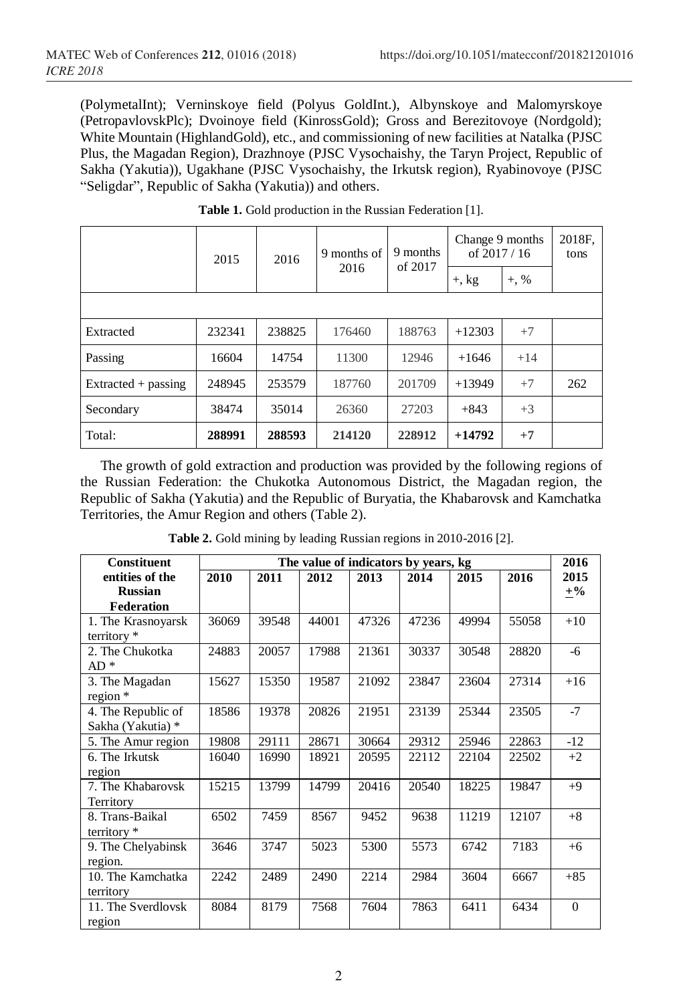(PolymetalInt); Verninskoye field (Polyus GoldInt.), Albynskoye and Malomyrskoye (PetropavlovskPlc); Dvoinoye field (KinrossGold); Gross and Berezitovoye (Nordgold); White Mountain (HighlandGold), etc., and commissioning of new facilities at Natalka (PJSC Plus, the Magadan Region), Drazhnoye (PJSC Vysochaishy, the Taryn Project, Republic of Sakha (Yakutia)), Ugakhane (PJSC Vysochaishy, the Irkutsk region), Ryabinovoye (PJSC "Seligdar", Republic of Sakha (Yakutia)) and others.

|                     | 2015<br>2016 |        | 9 months<br>9 months of |         | of 2017<br>2016 |       | Change 9 months<br>of $2017/16$ |  | 2018F.<br>tons |
|---------------------|--------------|--------|-------------------------|---------|-----------------|-------|---------------------------------|--|----------------|
|                     |              |        | $+$ , kg                | $+, \%$ |                 |       |                                 |  |                |
|                     |              |        |                         |         |                 |       |                                 |  |                |
| Extracted           | 232341       | 238825 | 176460                  | 188763  | $+12303$        | $+7$  |                                 |  |                |
| Passing             | 16604        | 14754  | 11300                   | 12946   | $+1646$         | $+14$ |                                 |  |                |
| Extracted + passing | 248945       | 253579 | 187760                  | 201709  | $+13949$        | $+7$  | 262                             |  |                |
| Secondary           | 38474        | 35014  | 26360                   | 27203   | $+843$          | $+3$  |                                 |  |                |
| Total:              | 288991       | 288593 | 214120                  | 228912  | $+14792$        | $+7$  |                                 |  |                |

**Table 1.** Gold production in the Russian Federation [1].

The growth of gold extraction and production was provided by the following regions of the Russian Federation: the Chukotka Autonomous District, the Magadan region, the Republic of Sakha (Yakutia) and the Republic of Buryatia, the Khabarovsk and Kamchatka Territories, the Amur Region and others (Table 2).

| <b>Constituent</b> | The value of indicators by years, kg |       |       |       |       |       |       |          |
|--------------------|--------------------------------------|-------|-------|-------|-------|-------|-------|----------|
| entities of the    | 2010                                 | 2011  | 2012  | 2013  | 2014  | 2015  | 2016  | 2015     |
| <b>Russian</b>     |                                      |       |       |       |       |       |       | $\pm\%$  |
| Federation         |                                      |       |       |       |       |       |       |          |
| 1. The Krasnoyarsk | 36069                                | 39548 | 44001 | 47326 | 47236 | 49994 | 55058 | $+10$    |
| territory *        |                                      |       |       |       |       |       |       |          |
| 2. The Chukotka    | 24883                                | 20057 | 17988 | 21361 | 30337 | 30548 | 28820 | -6       |
| AD *               |                                      |       |       |       |       |       |       |          |
| 3. The Magadan     | 15627                                | 15350 | 19587 | 21092 | 23847 | 23604 | 27314 | $+16$    |
| region *           |                                      |       |       |       |       |       |       |          |
| 4. The Republic of | 18586                                | 19378 | 20826 | 21951 | 23139 | 25344 | 23505 | $-7$     |
| Sakha (Yakutia) *  |                                      |       |       |       |       |       |       |          |
| 5. The Amur region | 19808                                | 29111 | 28671 | 30664 | 29312 | 25946 | 22863 | $-12$    |
| 6. The Irkutsk     | 16040                                | 16990 | 18921 | 20595 | 22112 | 22104 | 22502 | $+2$     |
| region             |                                      |       |       |       |       |       |       |          |
| 7. The Khabarovsk  | 15215                                | 13799 | 14799 | 20416 | 20540 | 18225 | 19847 | $+9$     |
| Territory          |                                      |       |       |       |       |       |       |          |
| 8. Trans-Baikal    | 6502                                 | 7459  | 8567  | 9452  | 9638  | 11219 | 12107 | $+8$     |
| territory $*$      |                                      |       |       |       |       |       |       |          |
| 9. The Chelyabinsk | 3646                                 | 3747  | 5023  | 5300  | 5573  | 6742  | 7183  | $+6$     |
| region.            |                                      |       |       |       |       |       |       |          |
| 10. The Kamchatka  | 2242                                 | 2489  | 2490  | 2214  | 2984  | 3604  | 6667  | $+85$    |
| territory          |                                      |       |       |       |       |       |       |          |
| 11. The Sverdlovsk | 8084                                 | 8179  | 7568  | 7604  | 7863  | 6411  | 6434  | $\Omega$ |
| region             |                                      |       |       |       |       |       |       |          |

**Table 2.** Gold mining by leading Russian regions in 2010-2016 [2].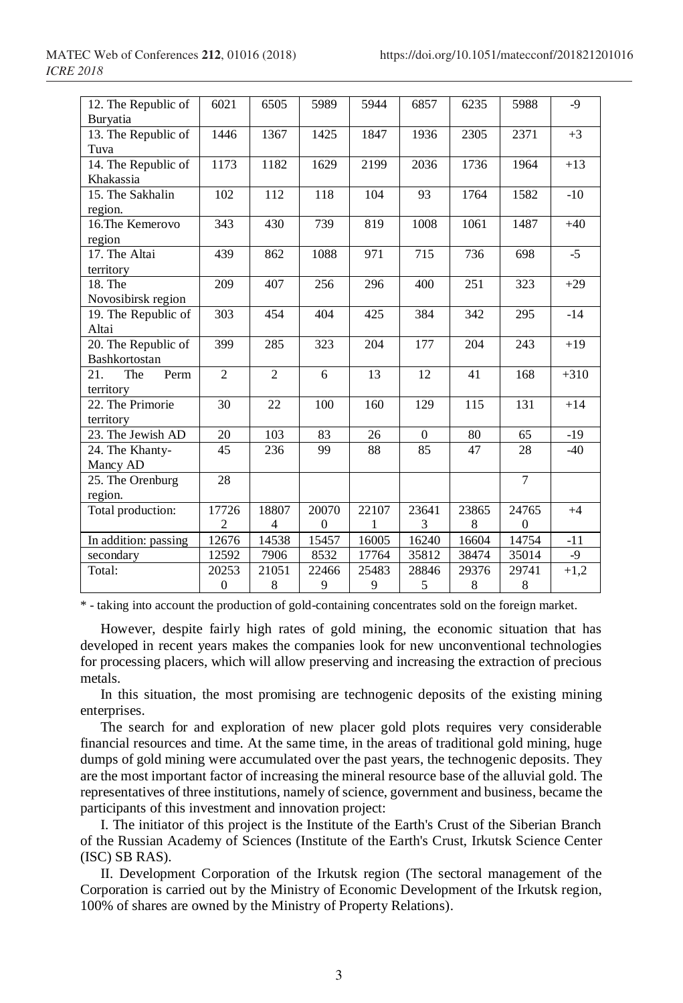| 12. The Republic of<br>Buryatia                    | 6021                    | 6505                    | 5989              | 5944       | 6857         | 6235       | 5988                  | $-9$   |
|----------------------------------------------------|-------------------------|-------------------------|-------------------|------------|--------------|------------|-----------------------|--------|
| 13. The Republic of<br>Tuva                        | 1446                    | 1367                    | 1425              | 1847       | 1936         | 2305       | 2371                  | $+3$   |
| 14. The Republic of<br>Khakassia                   | 1173                    | 1182                    | 1629              | 2199       | 2036         | 1736       | 1964                  | $+13$  |
| 15. The Sakhalin<br>region.                        | 102                     | 112                     | 118               | 104        | 93           | 1764       | 1582                  | $-10$  |
| 16. The Kemerovo<br>region                         | 343                     | 430                     | 739               | 819        | 1008         | 1061       | 1487                  | $+40$  |
| 17. The Altai<br>territory                         | 439                     | 862                     | 1088              | 971        | 715          | 736        | 698                   | $-5$   |
| 18. The<br>Novosibirsk region                      | 209                     | 407                     | 256               | 296        | 400          | 251        | 323                   | $+29$  |
| 19. The Republic of<br>Altai                       | 303                     | 454                     | 404               | 425        | 384          | 342        | 295                   | $-14$  |
| $\overline{20}$ . The Republic of<br>Bashkortostan | 399                     | 285                     | 323               | 204        | 177          | 204        | 243                   | $+19$  |
| The<br>Perm<br>21.<br>territory                    | $\overline{2}$          | $\overline{2}$          | 6                 | 13         | 12           | 41         | 168                   | $+310$ |
| 22. The Primorie<br>territory                      | 30                      | 22                      | 100               | 160        | 129          | 115        | 131                   | $+14$  |
| 23. The Jewish AD                                  | 20                      | 103                     | 83                | 26         | $\mathbf{0}$ | 80         | 65                    | $-19$  |
| 24. The Khanty-<br>Mancy AD                        | 45                      | 236                     | 99                | 88         | 85           | 47         | 28                    | $-40$  |
| 25. The Orenburg<br>region.                        | 28                      |                         |                   |            |              |            | $\overline{7}$        |        |
| Total production:                                  | 17726<br>$\overline{c}$ | 18807<br>$\overline{4}$ | 20070<br>$\theta$ | 22107<br>1 | 23641<br>3   | 23865<br>8 | 24765<br>$\mathbf{0}$ | $+4$   |
| In addition: passing                               | 12676                   | 14538                   | 15457             | 16005      | 16240        | 16604      | 14754                 | $-11$  |
| secondary                                          | 12592                   | 7906                    | 8532              | 17764      | 35812        | 38474      | 35014                 | $-9$   |
| Total:                                             | 20253                   | 21051                   | 22466             | 25483      | 28846        | 29376      | 29741                 | $+1,2$ |
|                                                    | $\overline{0}$          | 8                       | 9                 | 9          | 5            | 8          | $\,$ 8 $\,$           |        |

\* - taking into account the production of gold-containing concentrates sold on the foreign market.

However, despite fairly high rates of gold mining, the economic situation that has developed in recent years makes the companies look for new unconventional technologies for processing placers, which will allow preserving and increasing the extraction of precious metals.

In this situation, the most promising are technogenic deposits of the existing mining enterprises.

The search for and exploration of new placer gold plots requires very considerable financial resources and time. At the same time, in the areas of traditional gold mining, huge dumps of gold mining were accumulated over the past years, the technogenic deposits. They are the most important factor of increasing the mineral resource base of the alluvial gold. The representatives of three institutions, namely of science, government and business, became the participants of this investment and innovation project:

I. The initiator of this project is the Institute of the Earth's Crust of the Siberian Branch of the Russian Academy of Sciences (Institute of the Earth's Crust, Irkutsk Science Center (ISC) SB RAS).

II. Development Corporation of the Irkutsk region (The sectoral management of the Corporation is carried out by the Ministry of Economic Development of the Irkutsk region, 100% of shares are owned by the Ministry of Property Relations).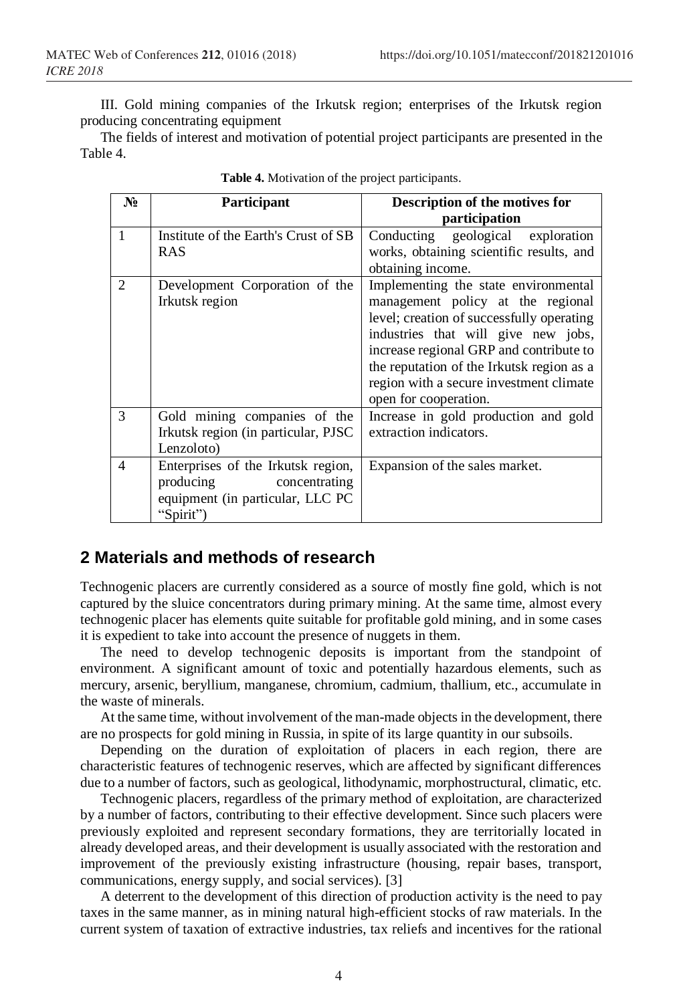III. Gold mining companies of the Irkutsk region; enterprises of the Irkutsk region producing concentrating equipment

The fields of interest and motivation of potential project participants are presented in the Table 4.

| $N_2$          | Participant                                                                                                       | Description of the motives for<br>participation                                                                                                                                                                                                                                                                           |
|----------------|-------------------------------------------------------------------------------------------------------------------|---------------------------------------------------------------------------------------------------------------------------------------------------------------------------------------------------------------------------------------------------------------------------------------------------------------------------|
| 1              | Institute of the Earth's Crust of SB<br><b>RAS</b>                                                                | Conducting geological exploration<br>works, obtaining scientific results, and<br>obtaining income.                                                                                                                                                                                                                        |
| $\mathfrak{D}$ | Development Corporation of the<br>Irkutsk region                                                                  | Implementing the state environmental<br>management policy at the regional<br>level; creation of successfully operating<br>industries that will give new jobs,<br>increase regional GRP and contribute to<br>the reputation of the Irkutsk region as a<br>region with a secure investment climate<br>open for cooperation. |
| 3              | Gold mining companies of the<br>Irkutsk region (in particular, PJSC<br>Lenzoloto)                                 | Increase in gold production and gold<br>extraction indicators.                                                                                                                                                                                                                                                            |
| $\overline{4}$ | Enterprises of the Irkutsk region,<br>producing<br>concentrating<br>equipment (in particular, LLC PC<br>"Spirit") | Expansion of the sales market.                                                                                                                                                                                                                                                                                            |

|  |  |  |  | Table 4. Motivation of the project participants. |
|--|--|--|--|--------------------------------------------------|
|--|--|--|--|--------------------------------------------------|

### **2 Materials and methods of research**

Technogenic placers are currently considered as a source of mostly fine gold, which is not captured by the sluice concentrators during primary mining. At the same time, almost every technogenic placer has elements quite suitable for profitable gold mining, and in some cases it is expedient to take into account the presence of nuggets in them.

The need to develop technogenic deposits is important from the standpoint of environment. A significant amount of toxic and potentially hazardous elements, such as mercury, arsenic, beryllium, manganese, chromium, cadmium, thallium, etc., accumulate in the waste of minerals.

At the same time, without involvement of the man-made objects in the development, there are no prospects for gold mining in Russia, in spite of its large quantity in our subsoils.

Depending on the duration of exploitation of placers in each region, there are characteristic features of technogenic reserves, which are affected by significant differences due to a number of factors, such as geological, lithodynamic, morphostructural, climatic, etc.

Technogenic placers, regardless of the primary method of exploitation, are characterized by a number of factors, contributing to their effective development. Since such placers were previously exploited and represent secondary formations, they are territorially located in already developed areas, and their development is usually associated with the restoration and improvement of the previously existing infrastructure (housing, repair bases, transport, communications, energy supply, and social services). [3]

A deterrent to the development of this direction of production activity is the need to pay taxes in the same manner, as in mining natural high-efficient stocks of raw materials. In the current system of taxation of extractive industries, tax reliefs and incentives for the rational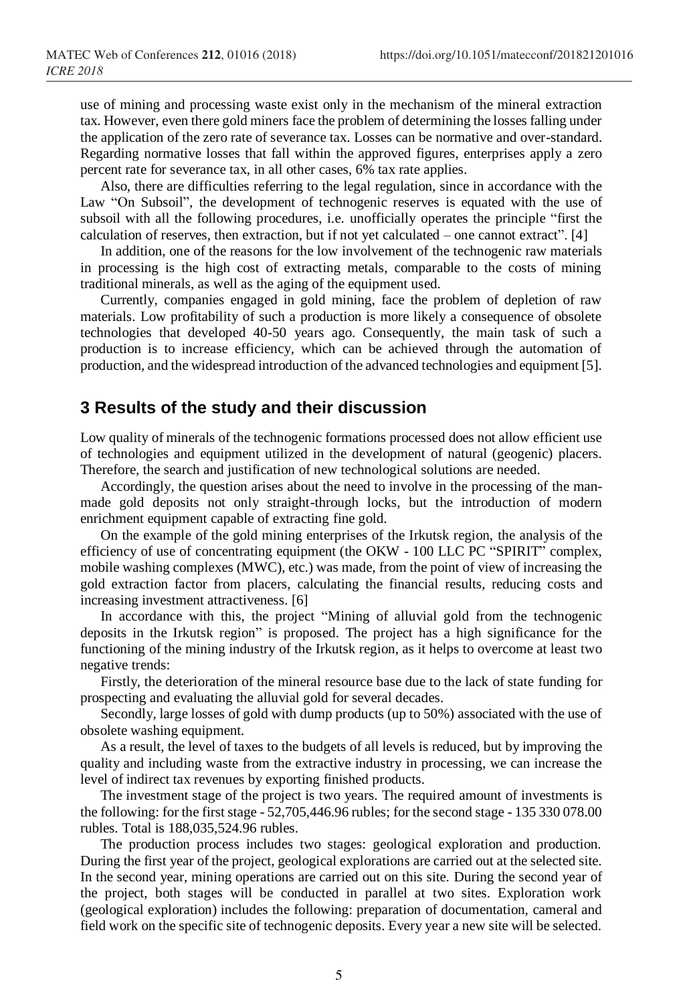use of mining and processing waste exist only in the mechanism of the mineral extraction tax. However, even there gold miners face the problem of determining the losses falling under the application of the zero rate of severance tax. Losses can be normative and over-standard. Regarding normative losses that fall within the approved figures, enterprises apply a zero percent rate for severance tax, in all other cases, 6% tax rate applies.

Also, there are difficulties referring to the legal regulation, since in accordance with the Law "On Subsoil", the development of technogenic reserves is equated with the use of subsoil with all the following procedures, i.e. unofficially operates the principle "first the calculation of reserves, then extraction, but if not yet calculated – one cannot extract". [4]

In addition, one of the reasons for the low involvement of the technogenic raw materials in processing is the high cost of extracting metals, comparable to the costs of mining traditional minerals, as well as the aging of the equipment used.

Currently, companies engaged in gold mining, face the problem of depletion of raw materials. Low profitability of such a production is more likely a consequence of obsolete technologies that developed 40-50 years ago. Consequently, the main task of such a production is to increase efficiency, which can be achieved through the automation of production, and the widespread introduction of the advanced technologies and equipment [5].

#### **3 Results of the study and their discussion**

Low quality of minerals of the technogenic formations processed does not allow efficient use of technologies and equipment utilized in the development of natural (geogenic) placers. Therefore, the search and justification of new technological solutions are needed.

Accordingly, the question arises about the need to involve in the processing of the manmade gold deposits not only straight-through locks, but the introduction of modern enrichment equipment capable of extracting fine gold.

On the example of the gold mining enterprises of the Irkutsk region, the analysis of the efficiency of use of concentrating equipment (the OKW - 100 LLC PC "SPIRIT" complex, mobile washing complexes (MWC), etc.) was made, from the point of view of increasing the gold extraction factor from placers, calculating the financial results, reducing costs and increasing investment attractiveness. [6]

In accordance with this, the project "Mining of alluvial gold from the technogenic deposits in the Irkutsk region" is proposed. The project has a high significance for the functioning of the mining industry of the Irkutsk region, as it helps to overcome at least two negative trends:

Firstly, the deterioration of the mineral resource base due to the lack of state funding for prospecting and evaluating the alluvial gold for several decades.

Secondly, large losses of gold with dump products (up to 50%) associated with the use of obsolete washing equipment.

As a result, the level of taxes to the budgets of all levels is reduced, but by improving the quality and including waste from the extractive industry in processing, we can increase the level of indirect tax revenues by exporting finished products.

The investment stage of the project is two years. The required amount of investments is the following: for the first stage - 52,705,446.96 rubles; for the second stage - 135 330 078.00 rubles. Total is 188,035,524.96 rubles.

The production process includes two stages: geological exploration and production. During the first year of the project, geological explorations are carried out at the selected site. In the second year, mining operations are carried out on this site. During the second year of the project, both stages will be conducted in parallel at two sites. Exploration work (geological exploration) includes the following: preparation of documentation, cameral and field work on the specific site of technogenic deposits. Every year a new site will be selected.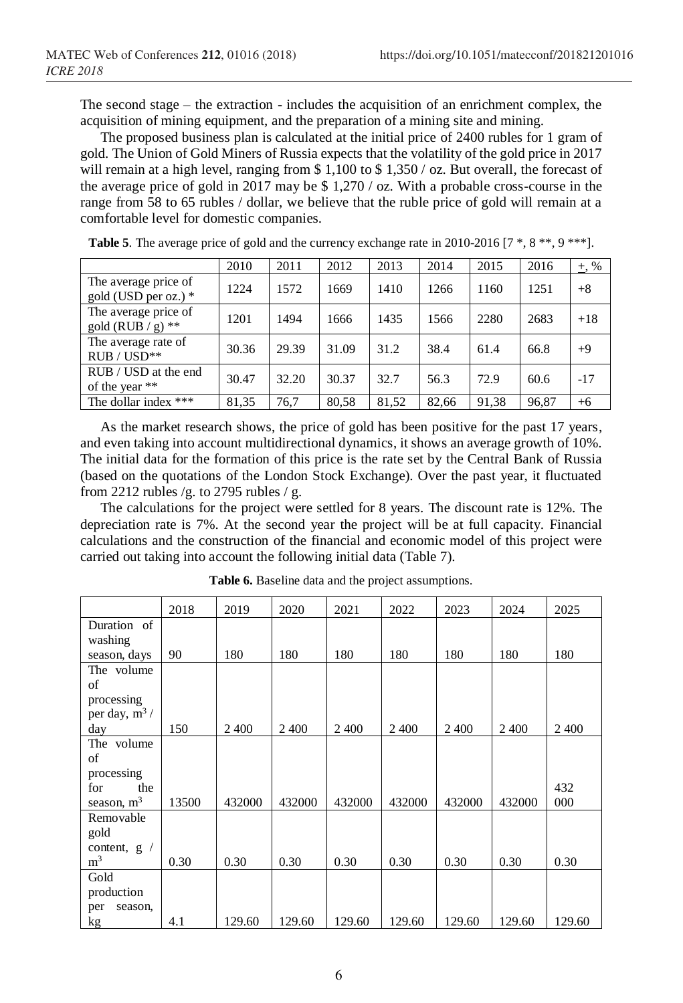The second stage – the extraction - includes the acquisition of an enrichment complex, the acquisition of mining equipment, and the preparation of a mining site and mining.

The proposed business plan is calculated at the initial price of 2400 rubles for 1 gram of gold. The Union of Gold Miners of Russia expects that the volatility of the gold price in 2017 will remain at a high level, ranging from \$ 1,100 to \$ 1,350 / oz. But overall, the forecast of the average price of gold in 2017 may be \$ 1,270 / oz. With a probable cross-course in the range from 58 to 65 rubles / dollar, we believe that the ruble price of gold will remain at a comfortable level for domestic companies.

|                                                | 2010  | 2011  | 2012  | 2013  | 2014  | 2015  | 2016  | $+, \%$ |
|------------------------------------------------|-------|-------|-------|-------|-------|-------|-------|---------|
| The average price of<br>gold (USD per oz.) $*$ | 1224  | 1572  | 1669  | 1410  | 1266  | 1160  | 1251  | $+8$    |
| The average price of<br>gold (RUB / g) $**$    | 1201  | 1494  | 1666  | 1435  | 1566  | 2280  | 2683  | $+18$   |
| The average rate of<br>$RUB / USD**$           | 30.36 | 29.39 | 31.09 | 31.2  | 38.4  | 61.4  | 66.8  | $+9$    |
| RUB / USD at the end<br>of the year **         | 30.47 | 32.20 | 30.37 | 32.7  | 56.3  | 72.9  | 60.6  | $-17$   |
| The dollar index ***                           | 81,35 | 76.7  | 80,58 | 81,52 | 82,66 | 91,38 | 96,87 | $+6$    |

**Table 5**. The average price of gold and the currency exchange rate in 2010-2016 [7  $^*$ , 8  $^{**}$ , 9  $^{***}$ ].

As the market research shows, the price of gold has been positive for the past 17 years, and even taking into account multidirectional dynamics, it shows an average growth of 10%. The initial data for the formation of this price is the rate set by the Central Bank of Russia (based on the quotations of the London Stock Exchange). Over the past year, it fluctuated from 2212 rubles /g. to 2795 rubles / g.

The calculations for the project were settled for 8 years. The discount rate is 12%. The depreciation rate is 7%. At the second year the project will be at full capacity. Financial calculations and the construction of the financial and economic model of this project were carried out taking into account the following initial data (Table 7).

|                          | 2018  | 2019    | 2020    | 2021   | 2022   | 2023   | 2024   | 2025   |
|--------------------------|-------|---------|---------|--------|--------|--------|--------|--------|
| Duration of              |       |         |         |        |        |        |        |        |
| washing                  |       |         |         |        |        |        |        |        |
| season, days             | 90    | 180     | 180     | 180    | 180    | 180    | 180    | 180    |
| The volume               |       |         |         |        |        |        |        |        |
| of                       |       |         |         |        |        |        |        |        |
| processing               |       |         |         |        |        |        |        |        |
| per day, $m^3/$          |       |         |         |        |        |        |        |        |
| day                      | 150   | 2 4 0 0 | 2 4 0 0 | 2400   | 2400   | 2400   | 2400   | 2400   |
| The volume               |       |         |         |        |        |        |        |        |
| of                       |       |         |         |        |        |        |        |        |
| processing               |       |         |         |        |        |        |        |        |
| for<br>the               |       |         |         |        |        |        |        | 432    |
| season, $m3$             | 13500 | 432000  | 432000  | 432000 | 432000 | 432000 | 432000 | 000    |
| Removable                |       |         |         |        |        |        |        |        |
| gold                     |       |         |         |        |        |        |        |        |
| content, g<br>$\sqrt{2}$ |       |         |         |        |        |        |        |        |
| m <sup>3</sup>           | 0.30  | 0.30    | 0.30    | 0.30   | 0.30   | 0.30   | 0.30   | 0.30   |
| Gold                     |       |         |         |        |        |        |        |        |
| production               |       |         |         |        |        |        |        |        |
| season,<br>per           |       |         |         |        |        |        |        |        |
| kg                       | 4.1   | 129.60  | 129.60  | 129.60 | 129.60 | 129.60 | 129.60 | 129.60 |

**Table 6.** Baseline data and the project assumptions.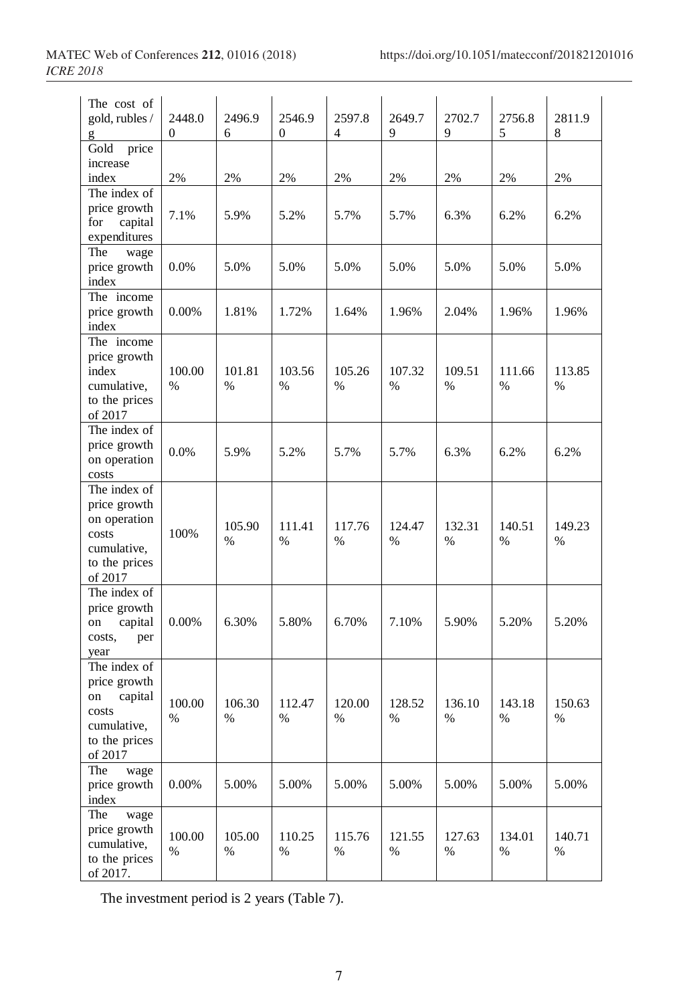| The cost of                    |             |             |                        |             |             |             |             |             |
|--------------------------------|-------------|-------------|------------------------|-------------|-------------|-------------|-------------|-------------|
| gold, rubles /                 | 2448.0<br>0 | 2496.9<br>6 | 2546.9<br>$\mathbf{0}$ | 2597.8<br>4 | 2649.7<br>9 | 2702.7<br>9 | 2756.8<br>5 | 2811.9<br>8 |
| Gold<br>price                  |             |             |                        |             |             |             |             |             |
| increase                       |             |             |                        |             |             |             |             |             |
| index                          | 2%          | 2%          | 2%                     | 2%          | 2%          | 2%          | 2%          | 2%          |
| The index of                   |             |             |                        |             |             |             |             |             |
| price growth<br>capital<br>for | 7.1%        | 5.9%        | 5.2%                   | 5.7%        | 5.7%        | 6.3%        | 6.2%        | 6.2%        |
| expenditures                   |             |             |                        |             |             |             |             |             |
| The<br>wage                    |             |             |                        |             |             |             |             |             |
| price growth                   | 0.0%        | 5.0%        | 5.0%                   | 5.0%        | 5.0%        | 5.0%        | 5.0%        | 5.0%        |
| index                          |             |             |                        |             |             |             |             |             |
| The income                     |             |             |                        |             |             |             |             |             |
| price growth                   | 0.00%       | 1.81%       | 1.72%                  | 1.64%       | 1.96%       | 2.04%       | 1.96%       | 1.96%       |
| index<br>The income            |             |             |                        |             |             |             |             |             |
| price growth                   |             |             |                        |             |             |             |             |             |
| index                          | 100.00      | 101.81      | 103.56                 | 105.26      | 107.32      | 109.51      | 111.66      | 113.85      |
| cumulative,                    | $\%$        | $\%$        | $\%$                   | $\%$        | $\%$        | %           | $\%$        | %           |
| to the prices                  |             |             |                        |             |             |             |             |             |
| of 2017<br>The index of        |             |             |                        |             |             |             |             |             |
| price growth                   |             |             |                        |             |             |             |             |             |
| on operation                   | 0.0%        | 5.9%        | 5.2%                   | 5.7%        | 5.7%        | 6.3%        | 6.2%        | 6.2%        |
| costs                          |             |             |                        |             |             |             |             |             |
| The index of                   |             |             |                        |             |             |             |             |             |
| price growth                   |             |             |                        |             |             |             |             |             |
| on operation<br>costs          | 100%        | 105.90      | 111.41                 | 117.76      | 124.47      | 132.31      | 140.51      | 149.23      |
| cumulative,                    |             | $\%$        | %                      | $\%$        | %           | $\%$        | $\%$        | %           |
| to the prices                  |             |             |                        |             |             |             |             |             |
| of 2017                        |             |             |                        |             |             |             |             |             |
| The index of                   |             |             |                        |             |             |             |             |             |
| price growth                   |             |             |                        |             |             |             |             |             |
| capital<br>on<br>costs,        | 0.00%       | 6.30%       | 5.80%                  | 6.70%       | 7.10%       | 5.90%       | 5.20%       | 5.20%       |
| per<br>year                    |             |             |                        |             |             |             |             |             |
| The index of                   |             |             |                        |             |             |             |             |             |
| price growth                   |             |             |                        |             |             |             |             |             |
| capital<br>on                  | 100.00      | 106.30      | 112.47                 | 120.00      | 128.52      | 136.10      | 143.18      | 150.63      |
| costs                          | %           | %           | %                      | %           | %           | %           | %           | %           |
| cumulative,<br>to the prices   |             |             |                        |             |             |             |             |             |
| of 2017                        |             |             |                        |             |             |             |             |             |
| wage<br>The                    |             |             |                        |             |             |             |             |             |
| price growth                   | 0.00%       | 5.00%       | 5.00%                  | 5.00%       | 5.00%       | 5.00%       | 5.00%       | 5.00%       |
| index                          |             |             |                        |             |             |             |             |             |
| The<br>wage<br>price growth    |             |             |                        |             |             |             |             |             |
| cumulative,                    | 100.00      | 105.00      | 110.25                 | 115.76      | 121.55      | 127.63      | 134.01      | 140.71      |
| to the prices                  | $\%$        | $\%$        | $\%$                   | $\%$        | $\%$        | $\%$        | $\%$        | $\%$        |
| of 2017.                       |             |             |                        |             |             |             |             |             |

The investment period is 2 years (Table 7).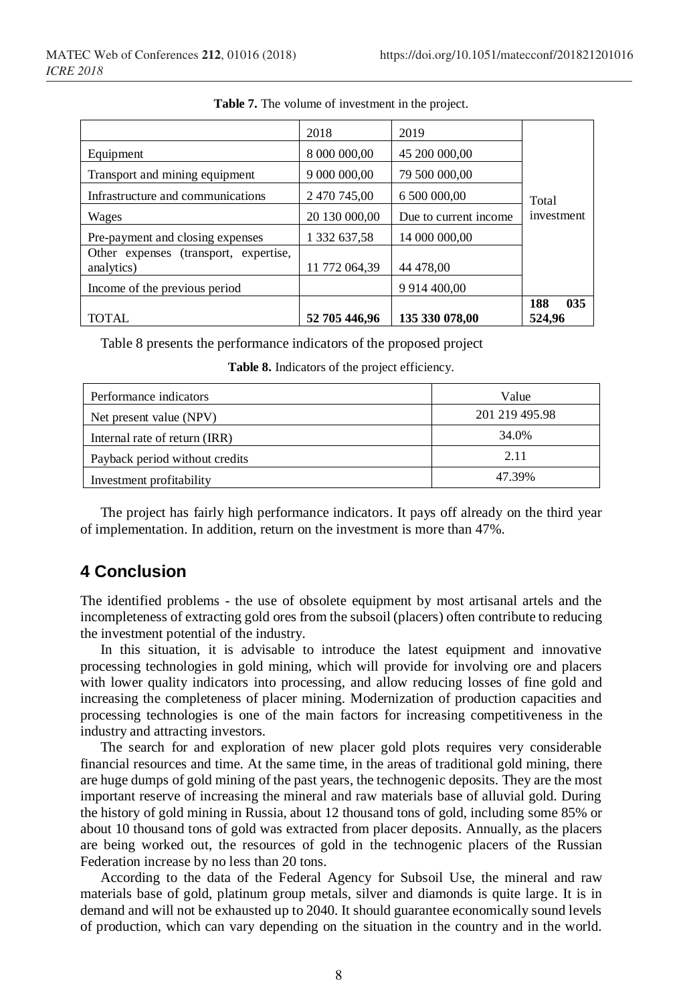| Income of the previous period                       |               | 9 9 14 4 00.00        | 035<br>188 |  |
|-----------------------------------------------------|---------------|-----------------------|------------|--|
| Other expenses (transport, expertise,<br>analytics) | 11 772 064.39 | 44 478,00             |            |  |
| Pre-payment and closing expenses                    | 1 332 637,58  | 14 000 000,00         |            |  |
| Wages                                               | 20 130 000,00 | Due to current income | investment |  |
| Infrastructure and communications                   | 2 470 745,00  | 6 500 000,00          | Total      |  |
| Transport and mining equipment                      | 9 000 000,00  | 79 500 000,00         |            |  |
| Equipment                                           | 8 000 000,00  | 45 200 000,00         |            |  |
|                                                     | 2018          | 2019                  |            |  |

**Table 7.** The volume of investment in the project.

Table 8 presents the performance indicators of the proposed project

| Table 8. Indicators of the project efficiency. |  |  |
|------------------------------------------------|--|--|
|------------------------------------------------|--|--|

| Performance indicators         | Value          |
|--------------------------------|----------------|
| Net present value (NPV)        | 201 219 495.98 |
| Internal rate of return (IRR)  | 34.0%          |
| Payback period without credits | 2.11           |
| Investment profitability       | 47.39%         |

The project has fairly high performance indicators. It pays off already on the third year of implementation. In addition, return on the investment is more than 47%.

## **4 Conclusion**

The identified problems - the use of obsolete equipment by most artisanal artels and the incompleteness of extracting gold ores from the subsoil (placers) often contribute to reducing the investment potential of the industry.

In this situation, it is advisable to introduce the latest equipment and innovative processing technologies in gold mining, which will provide for involving ore and placers with lower quality indicators into processing, and allow reducing losses of fine gold and increasing the completeness of placer mining. Modernization of production capacities and processing technologies is one of the main factors for increasing competitiveness in the industry and attracting investors.

The search for and exploration of new placer gold plots requires very considerable financial resources and time. At the same time, in the areas of traditional gold mining, there are huge dumps of gold mining of the past years, the technogenic deposits. They are the most important reserve of increasing the mineral and raw materials base of alluvial gold. During the history of gold mining in Russia, about 12 thousand tons of gold, including some 85% or about 10 thousand tons of gold was extracted from placer deposits. Annually, as the placers are being worked out, the resources of gold in the technogenic placers of the Russian Federation increase by no less than 20 tons.

According to the data of the Federal Agency for Subsoil Use, the mineral and raw materials base of gold, platinum group metals, silver and diamonds is quite large. It is in demand and will not be exhausted up to 2040. It should guarantee economically sound levels of production, which can vary depending on the situation in the country and in the world.